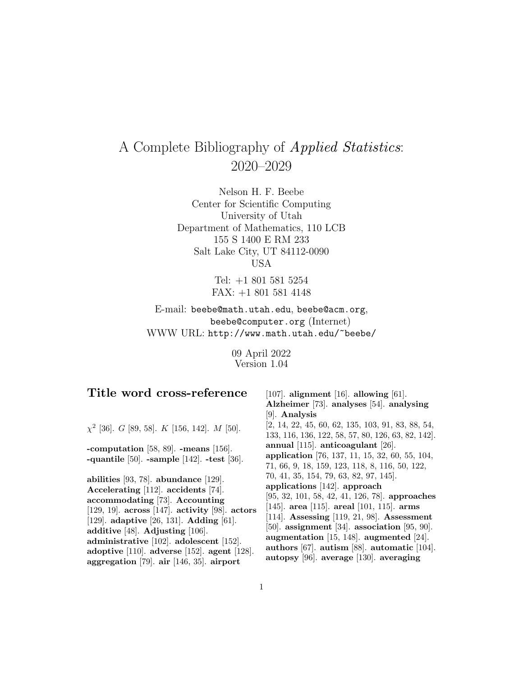# A Complete Bibliography of Applied Statistics: 2020–2029

Nelson H. F. Beebe Center for Scientific Computing University of Utah Department of Mathematics, 110 LCB 155 S 1400 E RM 233 Salt Lake City, UT 84112-0090 USA

> Tel: +1 801 581 5254 FAX: +1 801 581 4148

E-mail: beebe@math.utah.edu, beebe@acm.org, beebe@computer.org (Internet) WWW URL: http://www.math.utah.edu/~beebe/

> 09 April 2022 Version 1.04

|  | Title word cross-reference |
|--|----------------------------|
|--|----------------------------|

 $\chi^2$  [36]. G [89, 58]. K [156, 142]. M [50].

**-computation** [58, 89]. **-means** [156]. **-quantile** [50]. **-sample** [142]. **-test** [36].

**abilities** [93, 78]. **abundance** [129]. **Accelerating** [112]. **accidents** [74]. **accommodating** [73]. **Accounting** [129, 19]. **across** [147]. **activity** [98]. **actors** [129]. **adaptive** [26, 131]. **Adding** [61]. **additive** [48]. **Adjusting** [106]. **administrative** [102]. **adolescent** [152]. **adoptive** [110]. **adverse** [152]. **agent** [128]. **aggregation** [79]. **air** [146, 35]. **airport**

[107]. **alignment** [16]. **allowing** [61]. **Alzheimer** [73]. **analyses** [54]. **analysing** [9]. **Analysis** [2, 14, 22, 45, 60, 62, 135, 103, 91, 83, 88, 54, 133, 116, 136, 122, 58, 57, 80, 126, 63, 82, 142]. **annual** [115]. **anticoagulant** [26]. **application** [76, 137, 11, 15, 32, 60, 55, 104, 71, 66, 9, 18, 159, 123, 118, 8, 116, 50, 122, 70, 41, 35, 154, 79, 63, 82, 97, 145]. **applications** [142]. **approach** [95, 32, 101, 58, 42, 41, 126, 78]. **approaches** [145]. **area** [115]. **areal** [101, 115]. **arms** [114]. **Assessing** [119, 21, 98]. **Assessment** [50]. **assignment** [34]. **association** [95, 90]. **augmentation** [15, 148]. **augmented** [24]. **authors** [67]. **autism** [88]. **automatic** [104]. **autopsy** [96]. **average** [130]. **averaging**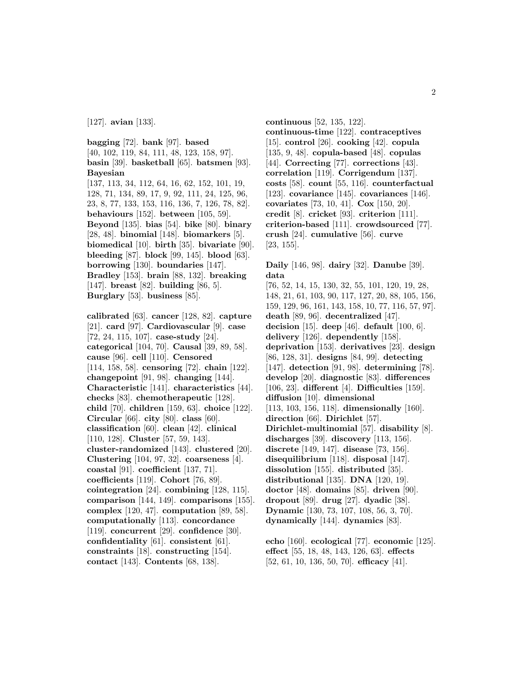[127]. **avian** [133].

**bagging** [72]. **bank** [97]. **based** [40, 102, 119, 84, 111, 48, 123, 158, 97]. **basin** [39]. **basketball** [65]. **batsmen** [93]. **Bayesian** [137, 113, 34, 112, 64, 16, 62, 152, 101, 19, 128, 71, 134, 89, 17, 9, 92, 111, 24, 125, 96, 23, 8, 77, 133, 153, 116, 136, 7, 126, 78, 82]. **behaviours** [152]. **between** [105, 59]. **Beyond** [135]. **bias** [54]. **bike** [80]. **binary** [28, 48]. **binomial** [148]. **biomarkers** [5]. **biomedical** [10]. **birth** [35]. **bivariate** [90]. **bleeding** [87]. **block** [99, 145]. **blood** [63]. **borrowing** [130]. **boundaries** [147]. **Bradley** [153]. **brain** [88, 132]. **breaking** [147]. **breast** [82]. **building** [86, 5]. **Burglary** [53]. **business** [85].

**calibrated** [63]. **cancer** [128, 82]. **capture** [21]. **card** [97]. **Cardiovascular** [9]. **case** [72, 24, 115, 107]. **case-study** [24]. **categorical** [104, 70]. **Causal** [39, 89, 58]. **cause** [96]. **cell** [110]. **Censored** [114, 158, 58]. **censoring** [72]. **chain** [122]. **changepoint** [91, 98]. **changing** [144]. **Characteristic** [141]. **characteristics** [44]. **checks** [83]. **chemotherapeutic** [128]. **child** [70]. **children** [159, 63]. **choice** [122]. **Circular** [66]. **city** [80]. **class** [60]. **classification** [60]. **clean** [42]. **clinical** [110, 128]. **Cluster** [57, 59, 143]. **cluster-randomized** [143]. **clustered** [20]. **Clustering** [104, 97, 32]. **coarseness** [4]. **coastal** [91]. **coefficient** [137, 71]. **coefficients** [119]. **Cohort** [76, 89]. **cointegration** [24]. **combining** [128, 115]. **comparison** [144, 149]. **comparisons** [155]. **complex** [120, 47]. **computation** [89, 58]. **computationally** [113]. **concordance** [119]. **concurrent** [29]. **confidence** [30]. **confidentiality** [61]. **consistent** [61]. **constraints** [18]. **constructing** [154]. **contact** [143]. **Contents** [68, 138].

**continuous** [52, 135, 122]. **continuous-time** [122]. **contraceptives** [15]. **control** [26]. **cooking** [42]. **copula** [135, 9, 48]. **copula-based** [48]. **copulas** [44]. **Correcting** [77]. **corrections** [43]. **correlation** [119]. **Corrigendum** [137]. **costs** [58]. **count** [55, 116]. **counterfactual** [123]. **covariance** [145]. **covariances** [146]. **covariates** [73, 10, 41]. **Cox** [150, 20]. **credit** [8]. **cricket** [93]. **criterion** [111]. **criterion-based** [111]. **crowdsourced** [77]. **crush** [24]. **cumulative** [56]. **curve** [23, 155].

**Daily** [146, 98]. **dairy** [32]. **Danube** [39]. **data** [76, 52, 14, 15, 130, 32, 55, 101, 120, 19, 28, 148, 21, 61, 103, 90, 117, 127, 20, 88, 105, 156, 159, 129, 96, 161, 143, 158, 10, 77, 116, 57, 97]. **death** [89, 96]. **decentralized** [47]. **decision** [15]. **deep** [46]. **default** [100, 6]. **delivery** [126]. **dependently** [158]. **deprivation** [153]. **derivatives** [23]. **design** [86, 128, 31]. **designs** [84, 99]. **detecting** [147]. **detection** [91, 98]. **determining** [78]. **develop** [20]. **diagnostic** [83]. **differences** [106, 23]. **different** [4]. **Difficulties** [159]. **diffusion** [10]. **dimensional** [113, 103, 156, 118]. **dimensionally** [160]. **direction** [66]. **Dirichlet** [57]. **Dirichlet-multinomial** [57]. **disability** [8]. **discharges** [39]. **discovery** [113, 156]. **discrete** [149, 147]. **disease** [73, 156]. **disequilibrium** [118]. **disposal** [147]. **dissolution** [155]. **distributed** [35]. **distributional** [135]. **DNA** [120, 19]. **doctor** [48]. **domains** [85]. **driven** [90]. **dropout** [89]. **drug** [27]. **dyadic** [38]. **Dynamic** [130, 73, 107, 108, 56, 3, 70]. **dynamically** [144]. **dynamics** [83].

**echo** [160]. **ecological** [77]. **economic** [125]. **effect** [55, 18, 48, 143, 126, 63]. **effects** [52, 61, 10, 136, 50, 70]. **efficacy** [41].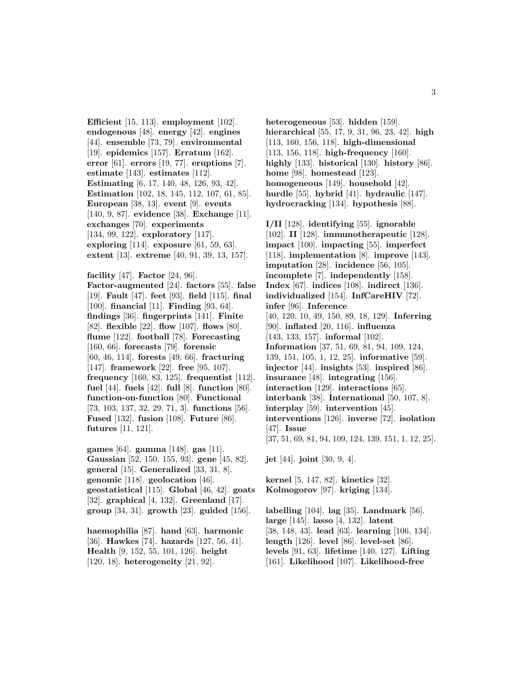**Efficient** [15, 113]. **employment** [102]. **endogenous** [48]. **energy** [42]. **engines** [44]. **ensemble** [73, 79]. **environmental** [19]. **epidemics** [157]. **Erratum** [162]. **error** [61]. **errors** [19, 77]. **eruptions** [7]. **estimate** [143]. **estimates** [112]. **Estimating** [6, 17, 140, 48, 126, 93, 42]. **Estimation** [102, 18, 145, 112, 107, 61, 85]. **European** [38, 13]. **event** [9]. **events** [140, 9, 87]. **evidence** [38]. **Exchange** [11]. **exchanges** [70]. **experiments** [134, 99, 122]. **exploratory** [117]. **exploring** [114]. **exposure** [61, 59, 63]. **extent** [13]. **extreme** [40, 91, 39, 13, 157].

**facility** [47]. **Factor** [24, 96]. **Factor-augmented** [24]. **factors** [55]. **false** [19]. **Fault** [47]. **feet** [93]. **field** [115]. **final** [100]. **financial** [11]. **Finding** [93, 64]. **findings** [36]. **fingerprints** [141]. **Finite** [82]. **flexible** [22]. **flow** [107]. **flows** [80]. **flume** [122]. **football** [78]. **Forecasting** [160, 66]. **forecasts** [79]. **forensic** [60, 46, 114]. **forests** [49, 66]. **fracturing** [147]. **framework** [22]. **free** [95, 107]. **frequency** [160, 83, 125]. **frequentist** [112]. **fuel** [44]. **fuels** [42]. **full** [8]. **function** [80]. **function-on-function** [80]. **Functional** [73, 103, 137, 32, 29, 71, 3]. **functions** [56]. **Fused** [132]. **fusion** [108]. **Future** [86]. **futures** [11, 121].

**games** [64]. **gamma** [148]. **gas** [11]. **Gaussian** [52, 150, 155, 93]. **gene** [45, 82]. **general** [15]. **Generalized** [33, 31, 8]. **genomic** [118]. **geolocation** [46]. **geostatistical** [115]. **Global** [46, 42]. **goats** [32]. **graphical** [4, 132]. **Greenland** [17]. **group** [34, 31]. **growth** [23]. **guided** [156].

**haemophilia** [87]. **hand** [63]. **harmonic** [36]. **Hawkes** [74]. **hazards** [127, 56, 41]. **Health** [9, 152, 55, 101, 126]. **height** [120, 18]. **heterogeneity** [21, 92].

**heterogeneous** [53]. **hidden** [159]. **hierarchical** [55, 17, 9, 31, 96, 23, 42]. **high** [113, 160, 156, 118]. **high-dimensional** [113, 156, 118]. **high-frequency** [160]. **highly** [133]. **historical** [130]. **history** [86]. **home** [98]. **homestead** [123]. **homogeneous** [149]. **household** [42]. **hurdle** [55]. **hybrid** [41]. **hydraulic** [147]. **hydrocracking** [134]. **hypothesis** [88].

**I/II** [128]. **identifying** [55]. **ignorable** [102]. **II** [128]. **immunotherapeutic** [128]. **impact** [100]. **impacting** [55]. **imperfect** [118]. **implementation** [8]. **improve** [143]. **imputation** [28]. **incidence** [56, 105]. **incomplete** [7]. **independently** [158]. **Index** [67]. **indices** [108]. **indirect** [136]. **individualized** [154]. **InfCareHIV** [72]. **infer** [96]. **Inference** [40, 120, 10, 49, 150, 89, 18, 129]. **Inferring** [90]. **inflated** [20, 116]. **influenza** [143, 133, 157]. **informal** [102]. **Information** [37, 51, 69, 81, 94, 109, 124, 139, 151, 105, 1, 12, 25]. **informative** [59]. **injector** [44]. **insights** [53]. **inspired** [86]. **insurance** [48]. **integrating** [156]. **interaction** [129]. **interactions** [65]. **interbank** [38]. **International** [50, 107, 8]. **interplay** [59]. **intervention** [45]. **interventions** [126]. **inverse** [72]. **isolation** [47]. **Issue** [37, 51, 69, 81, 94, 109, 124, 139, 151, 1, 12, 25].

**jet** [44]. **joint** [30, 9, 4].

**kernel** [5, 147, 82]. **kinetics** [32]. **Kolmogorov** [97]. **kriging** [134].

**labelling** [104]. **lag** [35]. **Landmark** [56]. **large** [145]. **lasso** [4, 132]. **latent** [38, 148, 43]. **lead** [63]. **learning** [106, 134]. **length** [126]. **level** [86]. **level-set** [86]. **levels** [91, 63]. **lifetime** [140, 127]. **Lifting** [161]. **Likelihood** [107]. **Likelihood-free**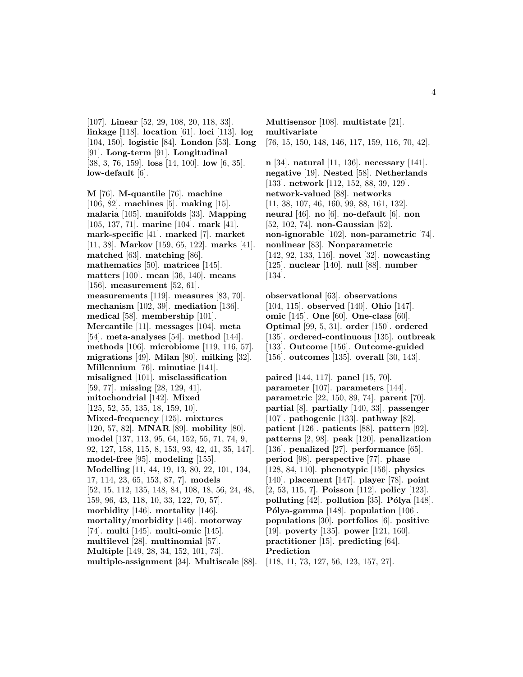[107]. **Linear** [52, 29, 108, 20, 118, 33]. **linkage** [118]. **location** [61]. **loci** [113]. **log** [104, 150]. **logistic** [84]. **London** [53]. **Long** [91]. **Long-term** [91]. **Longitudinal** [38, 3, 76, 159]. **loss** [14, 100]. **low** [6, 35]. **low-default** [6].

**M** [76]. **M-quantile** [76]. **machine** [106, 82]. **machines** [5]. **making** [15]. **malaria** [105]. **manifolds** [33]. **Mapping** [105, 137, 71]. **marine** [104]. **mark** [41]. **mark-specific** [41]. **marked** [7]. **market** [11, 38]. **Markov** [159, 65, 122]. **marks** [41]. **matched** [63]. **matching** [86]. **mathematics** [50]. **matrices** [145]. **matters** [100]. **mean** [36, 140]. **means** [156]. **measurement** [52, 61]. **measurements** [119]. **measures** [83, 70]. **mechanism** [102, 39]. **mediation** [136]. **medical** [58]. **membership** [101]. **Mercantile** [11]. **messages** [104]. **meta** [54]. **meta-analyses** [54]. **method** [144]. **methods** [106]. **microbiome** [119, 116, 57]. **migrations** [49]. **Milan** [80]. **milking** [32]. **Millennium** [76]. **minutiae** [141]. **misaligned** [101]. **misclassification** [59, 77]. **missing** [28, 129, 41]. **mitochondrial** [142]. **Mixed** [125, 52, 55, 135, 18, 159, 10]. **Mixed-frequency** [125]. **mixtures** [120, 57, 82]. **MNAR** [89]. **mobility** [80]. **model** [137, 113, 95, 64, 152, 55, 71, 74, 9, 92, 127, 158, 115, 8, 153, 93, 42, 41, 35, 147]. **model-free** [95]. **modeling** [155]. **Modelling** [11, 44, 19, 13, 80, 22, 101, 134, 17, 114, 23, 65, 153, 87, 7]. **models** [52, 15, 112, 135, 148, 84, 108, 18, 56, 24, 48, 159, 96, 43, 118, 10, 33, 122, 70, 57]. **morbidity** [146]. **mortality** [146]. **mortality/morbidity** [146]. **motorway** [74]. **multi** [145]. **multi-omic** [145]. **multilevel** [28]. **multinomial** [57]. **Multiple** [149, 28, 34, 152, 101, 73]. **multiple-assignment** [34]. **Multiscale** [88].

**Multisensor** [108]. **multistate** [21]. **multivariate** [76, 15, 150, 148, 146, 117, 159, 116, 70, 42].

**n** [34]. **natural** [11, 136]. **necessary** [141]. **negative** [19]. **Nested** [58]. **Netherlands** [133]. **network** [112, 152, 88, 39, 129]. **network-valued** [88]. **networks** [11, 38, 107, 46, 160, 99, 88, 161, 132]. **neural** [46]. **no** [6]. **no-default** [6]. **non** [52, 102, 74]. **non-Gaussian** [52]. **non-ignorable** [102]. **non-parametric** [74]. **nonlinear** [83]. **Nonparametric** [142, 92, 133, 116]. **novel** [32]. **nowcasting** [125]. **nuclear** [140]. **null** [88]. **number** [134].

**observational** [63]. **observations** [104, 115]. **observed** [140]. **Ohio** [147]. **omic** [145]. **One** [60]. **One-class** [60]. **Optimal** [99, 5, 31]. **order** [150]. **ordered** [135]. **ordered-continuous** [135]. **outbreak** [133]. **Outcome** [156]. **Outcome-guided** [156]. **outcomes** [135]. **overall** [30, 143].

**paired** [144, 117]. **panel** [15, 70]. **parameter** [107]. **parameters** [144]. **parametric** [22, 150, 89, 74]. **parent** [70]. **partial** [8]. **partially** [140, 33]. **passenger** [107]. **pathogenic** [133]. **pathway** [82]. **patient** [126]. **patients** [88]. **pattern** [92]. **patterns** [2, 98]. **peak** [120]. **penalization** [136]. **penalized** [27]. **performance** [65]. **period** [98]. **perspective** [77]. **phase** [128, 84, 110]. **phenotypic** [156]. **physics** [140]. **placement** [147]. **player** [78]. **point** [2, 53, 115, 7]. **Poisson** [112]. **policy** [123]. **polluting** [42]. **pollution** [35]. **Pólya** [148]. Pólya-gamma<sup>[148]</sup>. population<sup>[106]</sup>. **populations** [30]. **portfolios** [6]. **positive** [19]. **poverty** [135]. **power** [121, 160]. **practitioner** [15]. **predicting** [64]. **Prediction**

[118, 11, 73, 127, 56, 123, 157, 27].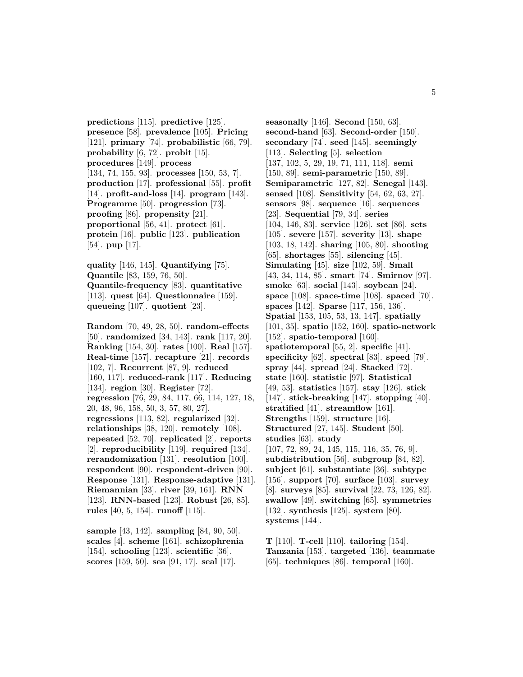**predictions** [115]. **predictive** [125]. **presence** [58]. **prevalence** [105]. **Pricing** [121]. **primary** [74]. **probabilistic** [66, 79]. **probability** [6, 72]. **probit** [15]. **procedures** [149]. **process** [134, 74, 155, 93]. **processes** [150, 53, 7]. **production** [17]. **professional** [55]. **profit** [14]. **profit-and-loss** [14]. **program** [143]. **Programme** [50]. **progression** [73]. **proofing** [86]. **propensity** [21]. **proportional** [56, 41]. **protect** [61]. **protein** [16]. **public** [123]. **publication** [54]. **pup** [17].

**quality** [146, 145]. **Quantifying** [75]. **Quantile** [83, 159, 76, 50]. **Quantile-frequency** [83]. **quantitative** [113]. **quest** [64]. **Questionnaire** [159]. **queueing** [107]. **quotient** [23].

**Random** [70, 49, 28, 50]. **random-effects** [50]. **randomized** [34, 143]. **rank** [117, 20]. **Ranking** [154, 30]. **rates** [100]. **Real** [157]. **Real-time** [157]. **recapture** [21]. **records** [102, 7]. **Recurrent** [87, 9]. **reduced** [160, 117]. **reduced-rank** [117]. **Reducing** [134]. **region** [30]. **Register** [72]. **regression** [76, 29, 84, 117, 66, 114, 127, 18, 20, 48, 96, 158, 50, 3, 57, 80, 27]. **regressions** [113, 82]. **regularized** [32]. **relationships** [38, 120]. **remotely** [108]. **repeated** [52, 70]. **replicated** [2]. **reports** [2]. **reproducibility** [119]. **required** [134]. **rerandomization** [131]. **resolution** [100]. **respondent** [90]. **respondent-driven** [90]. **Response** [131]. **Response-adaptive** [131]. **Riemannian** [33]. **river** [39, 161]. **RNN** [123]. **RNN-based** [123]. **Robust** [26, 85]. **rules** [40, 5, 154]. **runoff** [115].

**sample** [43, 142]. **sampling** [84, 90, 50]. **scales** [4]. **scheme** [161]. **schizophrenia** [154]. **schooling** [123]. **scientific** [36]. **scores** [159, 50]. **sea** [91, 17]. **seal** [17].

**seasonally** [146]. **Second** [150, 63]. **second-hand** [63]. **Second-order** [150]. **secondary** [74]. **seed** [145]. **seemingly** [113]. **Selecting** [5]. **selection** [137, 102, 5, 29, 19, 71, 111, 118]. **semi** [150, 89]. **semi-parametric** [150, 89]. **Semiparametric** [127, 82]. **Senegal** [143]. **sensed** [108]. **Sensitivity** [54, 62, 63, 27]. **sensors** [98]. **sequence** [16]. **sequences** [23]. **Sequential** [79, 34]. **series** [104, 146, 83]. **service** [126]. **set** [86]. **sets** [105]. **severe** [157]. **severity** [13]. **shape** [103, 18, 142]. **sharing** [105, 80]. **shooting** [65]. **shortages** [55]. **silencing** [45]. **Simulating** [45]. **size** [102, 59]. **Small** [43, 34, 114, 85]. **smart** [74]. **Smirnov** [97]. **smoke** [63]. **social** [143]. **soybean** [24]. **space** [108]. **space-time** [108]. **spaced** [70]. **spaces** [142]. **Sparse** [117, 156, 136]. **Spatial** [153, 105, 53, 13, 147]. **spatially** [101, 35]. **spatio** [152, 160]. **spatio-network** [152]. **spatio-temporal** [160]. **spatiotemporal** [55, 2]. **specific** [41]. **specificity** [62]. **spectral** [83]. **speed** [79]. **spray** [44]. **spread** [24]. **Stacked** [72]. **state** [160]. **statistic** [97]. **Statistical** [49, 53]. **statistics** [157]. **stay** [126]. **stick** [147]. **stick-breaking** [147]. **stopping** [40]. **stratified** [41]. **streamflow** [161]. **Strengths** [159]. **structure** [16]. **Structured** [27, 145]. **Student** [50]. **studies** [63]. **study** [107, 72, 89, 24, 145, 115, 116, 35, 76, 9]. **subdistribution** [56]. **subgroup** [84, 82]. **subject** [61]. **substantiate** [36]. **subtype** [156]. **support** [70]. **surface** [103]. **survey** [8]. **surveys** [85]. **survival** [22, 73, 126, 82]. **swallow** [49]. **switching** [65]. **symmetries** [132]. **synthesis** [125]. **system** [80]. **systems** [144].

**T** [110]. **T-cell** [110]. **tailoring** [154]. **Tanzania** [153]. **targeted** [136]. **teammate** [65]. **techniques** [86]. **temporal** [160].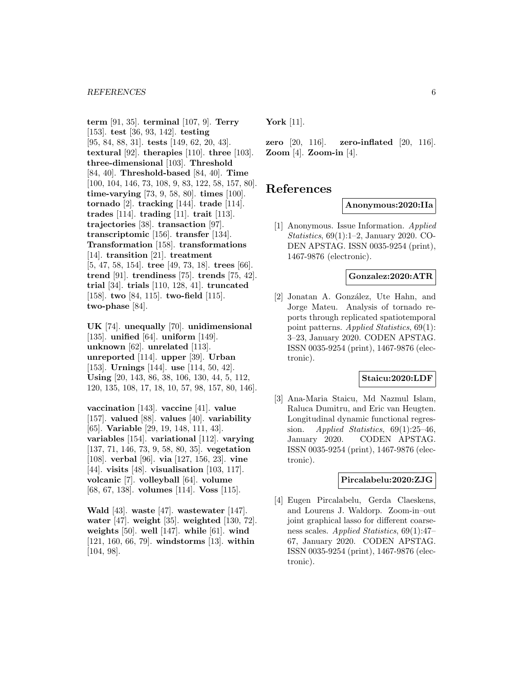**term** [91, 35]. **terminal** [107, 9]. **Terry** [153]. **test** [36, 93, 142]. **testing** [95, 84, 88, 31]. **tests** [149, 62, 20, 43]. **textural** [92]. **therapies** [110]. **three** [103]. **three-dimensional** [103]. **Threshold** [84, 40]. **Threshold-based** [84, 40]. **Time** [100, 104, 146, 73, 108, 9, 83, 122, 58, 157, 80]. **time-varying** [73, 9, 58, 80]. **times** [100]. **tornado** [2]. **tracking** [144]. **trade** [114]. **trades** [114]. **trading** [11]. **trait** [113]. **trajectories** [38]. **transaction** [97]. **transcriptomic** [156]. **transfer** [134]. **Transformation** [158]. **transformations** [14]. **transition** [21]. **treatment** [5, 47, 58, 154]. **tree** [49, 73, 18]. **trees** [66]. **trend** [91]. **trendiness** [75]. **trends** [75, 42]. **trial** [34]. **trials** [110, 128, 41]. **truncated** [158]. **two** [84, 115]. **two-field** [115]. **two-phase** [84].

**UK** [74]. **unequally** [70]. **unidimensional** [135]. **unified** [64]. **uniform** [149]. **unknown** [62]. **unrelated** [113]. **unreported** [114]. **upper** [39]. **Urban** [153]. **Urnings** [144]. **use** [114, 50, 42]. **Using** [20, 143, 86, 38, 106, 130, 44, 5, 112, 120, 135, 108, 17, 18, 10, 57, 98, 157, 80, 146].

**vaccination** [143]. **vaccine** [41]. **value** [157]. **valued** [88]. **values** [40]. **variability** [65]. **Variable** [29, 19, 148, 111, 43]. **variables** [154]. **variational** [112]. **varying** [137, 71, 146, 73, 9, 58, 80, 35]. **vegetation** [108]. **verbal** [96]. **via** [127, 156, 23]. **vine** [44]. **visits** [48]. **visualisation** [103, 117]. **volcanic** [7]. **volleyball** [64]. **volume** [68, 67, 138]. **volumes** [114]. **Voss** [115].

**Wald** [43]. **waste** [47]. **wastewater** [147]. **water** [47]. **weight** [35]. **weighted** [130, 72]. **weights** [50]. **well** [147]. **while** [61]. **wind** [121, 160, 66, 79]. **windstorms** [13]. **within** [104, 98].

**York** [11].

**zero** [20, 116]. **zero-inflated** [20, 116]. **Zoom** [4]. **Zoom-in** [4].

# **References**

**Anonymous:2020:IIa**

[1] Anonymous. Issue Information. Applied Statistics, 69(1):1–2, January 2020. CO-DEN APSTAG. ISSN 0035-9254 (print), 1467-9876 (electronic).

#### **Gonzalez:2020:ATR**

[2] Jonatan A. González, Ute Hahn, and Jorge Mateu. Analysis of tornado reports through replicated spatiotemporal point patterns. Applied Statistics, 69(1): 3–23, January 2020. CODEN APSTAG. ISSN 0035-9254 (print), 1467-9876 (electronic).

#### **Staicu:2020:LDF**

[3] Ana-Maria Staicu, Md Nazmul Islam, Raluca Dumitru, and Eric van Heugten. Longitudinal dynamic functional regression. Applied Statistics,  $69(1):25-46$ , January 2020. CODEN APSTAG. ISSN 0035-9254 (print), 1467-9876 (electronic).

# **Pircalabelu:2020:ZJG**

[4] Eugen Pircalabelu, Gerda Claeskens, and Lourens J. Waldorp. Zoom-in–out joint graphical lasso for different coarseness scales. Applied Statistics, 69(1):47– 67, January 2020. CODEN APSTAG. ISSN 0035-9254 (print), 1467-9876 (electronic).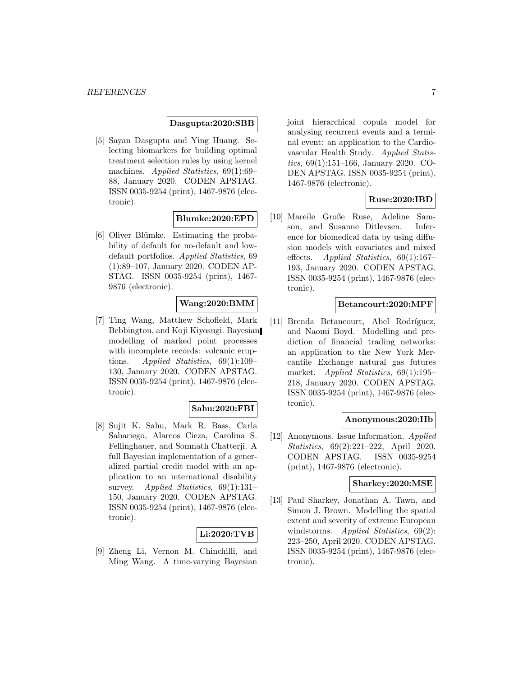#### **Dasgupta:2020:SBB**

[5] Sayan Dasgupta and Ying Huang. Selecting biomarkers for building optimal treatment selection rules by using kernel machines. Applied Statistics, 69(1):69– 88, January 2020. CODEN APSTAG. ISSN 0035-9254 (print), 1467-9876 (electronic).

#### **Blumke:2020:EPD**

[6] Oliver Blümke. Estimating the probability of default for no-default and lowdefault portfolios. Applied Statistics, 69 (1):89–107, January 2020. CODEN AP-STAG. ISSN 0035-9254 (print), 1467- 9876 (electronic).

## **Wang:2020:BMM**

[7] Ting Wang, Matthew Schofield, Mark Bebbington, and Koji Kiyosugi. Bayesian modelling of marked point processes with incomplete records: volcanic eruptions. Applied Statistics, 69(1):109– 130, January 2020. CODEN APSTAG. ISSN 0035-9254 (print), 1467-9876 (electronic).

# **Sahu:2020:FBI**

[8] Sujit K. Sahu, Mark R. Bass, Carla Sabariego, Alarcos Cieza, Carolina S. Fellinghauer, and Somnath Chatterji. A full Bayesian implementation of a generalized partial credit model with an application to an international disability survey. *Applied Statistics*, 69(1):131– 150, January 2020. CODEN APSTAG. ISSN 0035-9254 (print), 1467-9876 (electronic).

## **Li:2020:TVB**

[9] Zheng Li, Vernon M. Chinchilli, and Ming Wang. A time-varying Bayesian joint hierarchical copula model for analysing recurrent events and a terminal event: an application to the Cardiovascular Health Study. Applied Statistics, 69(1):151–166, January 2020. CO-DEN APSTAG. ISSN 0035-9254 (print), 1467-9876 (electronic).

# **Ruse:2020:IBD**

[10] Mareile Große Ruse, Adeline Samson, and Susanne Ditlevsen. Inference for biomedical data by using diffusion models with covariates and mixed effects. Applied Statistics, 69(1):167– 193, January 2020. CODEN APSTAG. ISSN 0035-9254 (print), 1467-9876 (electronic).

## **Betancourt:2020:MPF**

[11] Brenda Betancourt, Abel Rodríguez, and Naomi Boyd. Modelling and prediction of financial trading networks: an application to the New York Mercantile Exchange natural gas futures market. *Applied Statistics*, 69(1):195– 218, January 2020. CODEN APSTAG. ISSN 0035-9254 (print), 1467-9876 (electronic).

#### **Anonymous:2020:IIb**

[12] Anonymous. Issue Information. Applied Statistics, 69(2):221–222, April 2020. CODEN APSTAG. ISSN 0035-9254 (print), 1467-9876 (electronic).

## **Sharkey:2020:MSE**

[13] Paul Sharkey, Jonathan A. Tawn, and Simon J. Brown. Modelling the spatial extent and severity of extreme European windstorms. Applied Statistics, 69(2): 223–250, April 2020. CODEN APSTAG. ISSN 0035-9254 (print), 1467-9876 (electronic).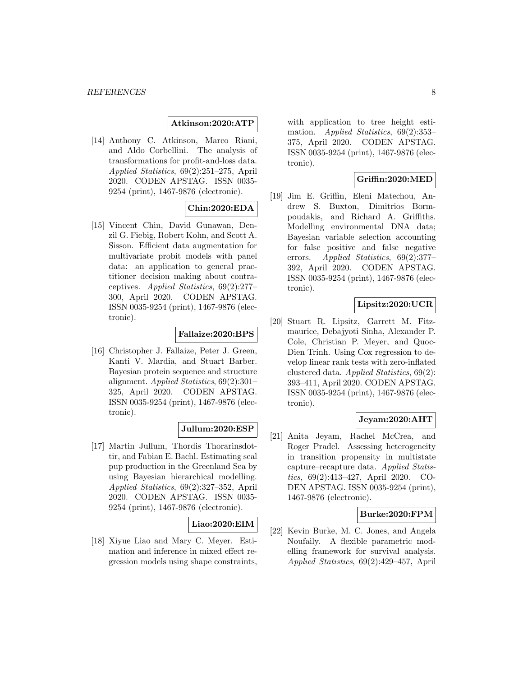#### **Atkinson:2020:ATP**

[14] Anthony C. Atkinson, Marco Riani, and Aldo Corbellini. The analysis of transformations for profit-and-loss data. Applied Statistics, 69(2):251–275, April 2020. CODEN APSTAG. ISSN 0035- 9254 (print), 1467-9876 (electronic).

## **Chin:2020:EDA**

[15] Vincent Chin, David Gunawan, Denzil G. Fiebig, Robert Kohn, and Scott A. Sisson. Efficient data augmentation for multivariate probit models with panel data: an application to general practitioner decision making about contraceptives. Applied Statistics, 69(2):277– 300, April 2020. CODEN APSTAG. ISSN 0035-9254 (print), 1467-9876 (electronic).

# **Fallaize:2020:BPS**

[16] Christopher J. Fallaize, Peter J. Green, Kanti V. Mardia, and Stuart Barber. Bayesian protein sequence and structure alignment. Applied Statistics, 69(2):301– 325, April 2020. CODEN APSTAG. ISSN 0035-9254 (print), 1467-9876 (electronic).

## **Jullum:2020:ESP**

[17] Martin Jullum, Thordis Thorarinsdottir, and Fabian E. Bachl. Estimating seal pup production in the Greenland Sea by using Bayesian hierarchical modelling. Applied Statistics, 69(2):327–352, April 2020. CODEN APSTAG. ISSN 0035- 9254 (print), 1467-9876 (electronic).

## **Liao:2020:EIM**

[18] Xiyue Liao and Mary C. Meyer. Estimation and inference in mixed effect regression models using shape constraints, with application to tree height estimation. Applied Statistics, 69(2):353-375, April 2020. CODEN APSTAG. ISSN 0035-9254 (print), 1467-9876 (electronic).

# **Griffin:2020:MED**

[19] Jim E. Griffin, Eleni Matechou, Andrew S. Buxton, Dimitrios Bormpoudakis, and Richard A. Griffiths. Modelling environmental DNA data; Bayesian variable selection accounting for false positive and false negative errors. Applied Statistics, 69(2):377– 392, April 2020. CODEN APSTAG. ISSN 0035-9254 (print), 1467-9876 (electronic).

# **Lipsitz:2020:UCR**

[20] Stuart R. Lipsitz, Garrett M. Fitzmaurice, Debajyoti Sinha, Alexander P. Cole, Christian P. Meyer, and Quoc-Dien Trinh. Using Cox regression to develop linear rank tests with zero-inflated clustered data. Applied Statistics, 69(2): 393–411, April 2020. CODEN APSTAG. ISSN 0035-9254 (print), 1467-9876 (electronic).

## **Jeyam:2020:AHT**

[21] Anita Jeyam, Rachel McCrea, and Roger Pradel. Assessing heterogeneity in transition propensity in multistate capture–recapture data. Applied Statistics, 69(2):413–427, April 2020. CO-DEN APSTAG. ISSN 0035-9254 (print), 1467-9876 (electronic).

#### **Burke:2020:FPM**

[22] Kevin Burke, M. C. Jones, and Angela Noufaily. A flexible parametric modelling framework for survival analysis. Applied Statistics, 69(2):429–457, April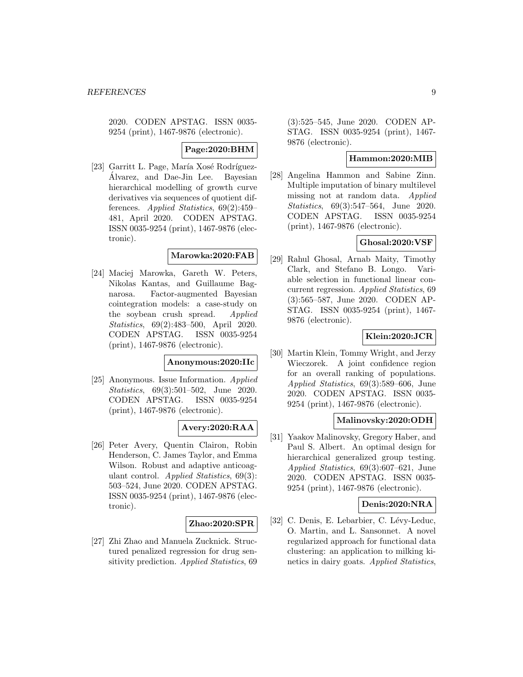2020. CODEN APSTAG. ISSN 0035- 9254 (print), 1467-9876 (electronic).

**Page:2020:BHM**

[23] Garritt L. Page, María Xosé Rodríguez-Alvarez, and Dae-Jin Lee. Bayesian ´ hierarchical modelling of growth curve derivatives via sequences of quotient differences. Applied Statistics, 69(2):459– 481, April 2020. CODEN APSTAG. ISSN 0035-9254 (print), 1467-9876 (electronic).

#### **Marowka:2020:FAB**

[24] Maciej Marowka, Gareth W. Peters, Nikolas Kantas, and Guillaume Bagnarosa. Factor-augmented Bayesian cointegration models: a case-study on the soybean crush spread. Applied Statistics, 69(2):483–500, April 2020. CODEN APSTAG. ISSN 0035-9254 (print), 1467-9876 (electronic).

## **Anonymous:2020:IIc**

[25] Anonymous. Issue Information. Applied Statistics, 69(3):501–502, June 2020. CODEN APSTAG. ISSN 0035-9254 (print), 1467-9876 (electronic).

## **Avery:2020:RAA**

[26] Peter Avery, Quentin Clairon, Robin Henderson, C. James Taylor, and Emma Wilson. Robust and adaptive anticoagulant control. Applied Statistics, 69(3): 503–524, June 2020. CODEN APSTAG. ISSN 0035-9254 (print), 1467-9876 (electronic).

#### **Zhao:2020:SPR**

[27] Zhi Zhao and Manuela Zucknick. Structured penalized regression for drug sensitivity prediction. Applied Statistics, 69 (3):525–545, June 2020. CODEN AP-STAG. ISSN 0035-9254 (print), 1467- 9876 (electronic).

# **Hammon:2020:MIB**

[28] Angelina Hammon and Sabine Zinn. Multiple imputation of binary multilevel missing not at random data. Applied Statistics, 69(3):547–564, June 2020. CODEN APSTAG. ISSN 0035-9254 (print), 1467-9876 (electronic).

# **Ghosal:2020:VSF**

[29] Rahul Ghosal, Arnab Maity, Timothy Clark, and Stefano B. Longo. Variable selection in functional linear concurrent regression. Applied Statistics, 69 (3):565–587, June 2020. CODEN AP-STAG. ISSN 0035-9254 (print), 1467- 9876 (electronic).

## **Klein:2020:JCR**

[30] Martin Klein, Tommy Wright, and Jerzy Wieczorek. A joint confidence region for an overall ranking of populations. Applied Statistics, 69(3):589–606, June 2020. CODEN APSTAG. ISSN 0035- 9254 (print), 1467-9876 (electronic).

## **Malinovsky:2020:ODH**

[31] Yaakov Malinovsky, Gregory Haber, and Paul S. Albert. An optimal design for hierarchical generalized group testing. Applied Statistics, 69(3):607–621, June 2020. CODEN APSTAG. ISSN 0035- 9254 (print), 1467-9876 (electronic).

#### **Denis:2020:NRA**

[32] C. Denis, E. Lebarbier, C. Lévy-Leduc, O. Martin, and L. Sansonnet. A novel regularized approach for functional data clustering: an application to milking kinetics in dairy goats. Applied Statistics,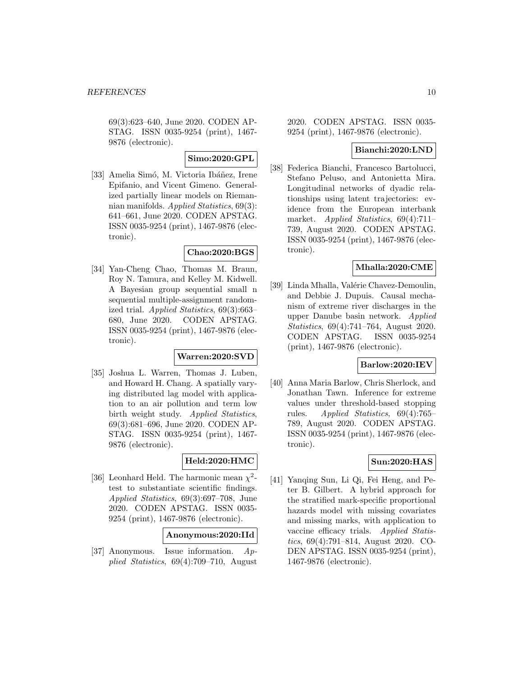69(3):623–640, June 2020. CODEN AP-STAG. ISSN 0035-9254 (print), 1467- 9876 (electronic).

# **Simo:2020:GPL**

[33] Amelia Simó, M. Victoria Ibáñez, Irene Epifanio, and Vicent Gimeno. Generalized partially linear models on Riemannian manifolds. Applied Statistics, 69(3): 641–661, June 2020. CODEN APSTAG. ISSN 0035-9254 (print), 1467-9876 (electronic).

## **Chao:2020:BGS**

[34] Yan-Cheng Chao, Thomas M. Braun, Roy N. Tamura, and Kelley M. Kidwell. A Bayesian group sequential small n sequential multiple-assignment randomized trial. Applied Statistics, 69(3):663– 680, June 2020. CODEN APSTAG. ISSN 0035-9254 (print), 1467-9876 (electronic).

#### **Warren:2020:SVD**

[35] Joshua L. Warren, Thomas J. Luben, and Howard H. Chang. A spatially varying distributed lag model with application to an air pollution and term low birth weight study. Applied Statistics, 69(3):681–696, June 2020. CODEN AP-STAG. ISSN 0035-9254 (print), 1467- 9876 (electronic).

# **Held:2020:HMC**

[36] Leonhard Held. The harmonic mean  $\chi^2$ test to substantiate scientific findings. Applied Statistics, 69(3):697–708, June 2020. CODEN APSTAG. ISSN 0035- 9254 (print), 1467-9876 (electronic).

#### **Anonymous:2020:IId**

[37] Anonymous. Issue information. Applied Statistics, 69(4):709–710, August 2020. CODEN APSTAG. ISSN 0035- 9254 (print), 1467-9876 (electronic).

# **Bianchi:2020:LND**

[38] Federica Bianchi, Francesco Bartolucci, Stefano Peluso, and Antonietta Mira. Longitudinal networks of dyadic relationships using latent trajectories: evidence from the European interbank market. Applied Statistics, 69(4):711– 739, August 2020. CODEN APSTAG. ISSN 0035-9254 (print), 1467-9876 (electronic).

# **Mhalla:2020:CME**

[39] Linda Mhalla, Valérie Chavez-Demoulin, and Debbie J. Dupuis. Causal mechanism of extreme river discharges in the upper Danube basin network. Applied Statistics, 69(4):741–764, August 2020. CODEN APSTAG. ISSN 0035-9254 (print), 1467-9876 (electronic).

#### **Barlow:2020:IEV**

[40] Anna Maria Barlow, Chris Sherlock, and Jonathan Tawn. Inference for extreme values under threshold-based stopping rules. Applied Statistics, 69(4):765– 789, August 2020. CODEN APSTAG. ISSN 0035-9254 (print), 1467-9876 (electronic).

# **Sun:2020:HAS**

[41] Yanqing Sun, Li Qi, Fei Heng, and Peter B. Gilbert. A hybrid approach for the stratified mark-specific proportional hazards model with missing covariates and missing marks, with application to vaccine efficacy trials. Applied Statistics, 69(4):791–814, August 2020. CO-DEN APSTAG. ISSN 0035-9254 (print), 1467-9876 (electronic).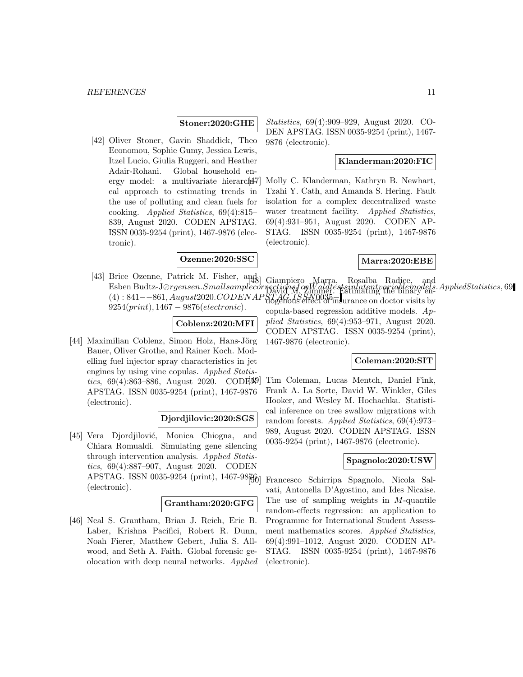#### **Stoner:2020:GHE**

[42] Oliver Stoner, Gavin Shaddick, Theo Economou, Sophie Gumy, Jessica Lewis, Itzel Lucio, Giulia Ruggeri, and Heather Adair-Rohani. Global household energy model: a multivariate hierarch $47$ cal approach to estimating trends in the use of polluting and clean fuels for cooking. Applied Statistics, 69(4):815– 839, August 2020. CODEN APSTAG. ISSN 0035-9254 (print), 1467-9876 (electronic).

## **Ozenne:2020:SSC**

[43] Brice Ozenne, Patrick M. Fisher, and Brice Ozenne, 1 aurely M. Fisher, and S. Giampiero Marra, Rosalba Radice, and<br>Esben Budtz-J*Orgensen.SmallsamplecorrectionsforWaldtestssinlatentvariablemodels.AppliedStatistics*, 69  $(4)$ : 841−−861, August2020.CODENAPSTAG.ISSN0035−  $9254(print)$ , 1467 – 9876(*electronic*).

## **Coblenz:2020:MFI**

[44] Maximilian Coblenz, Simon Holz, Hans-Jörg Bauer, Oliver Grothe, and Rainer Koch. Modelling fuel injector spray characteristics in jet engines by using vine copulas. Applied Statistics, 69(4):863–886, August 2020. CODE APSTAG. ISSN 0035-9254 (print), 1467-9876 (electronic).

## **Djordjilovic:2020:SGS**

[45] Vera Djordjilović, Monica Chiogna, and Chiara Romualdi. Simulating gene silencing through intervention analysis. Applied Statistics, 69(4):887–907, August 2020. CODEN APSTAG. ISSN 0035-9254 (print), 1467-98 $\mathbb{F}$ 6) (electronic).

#### **Grantham:2020:GFG**

[46] Neal S. Grantham, Brian J. Reich, Eric B. Laber, Krishna Pacifici, Robert R. Dunn, Noah Fierer, Matthew Gebert, Julia S. Allwood, and Seth A. Faith. Global forensic geolocation with deep neural networks. Applied

Statistics, 69(4):909–929, August 2020. CO-DEN APSTAG. ISSN 0035-9254 (print), 1467- 9876 (electronic).

#### **Klanderman:2020:FIC**

[47] Molly C. Klanderman, Kathryn B. Newhart, Tzahi Y. Cath, and Amanda S. Hering. Fault isolation for a complex decentralized waste water treatment facility. Applied Statistics, 69(4):931–951, August 2020. CODEN AP-STAG. ISSN 0035-9254 (print), 1467-9876 (electronic).

#### **Marra:2020:EBE**

David M. Zimmer. Estimating the binary encopula-based regression additive models. Applied Statistics, 69(4):953–971, August 2020. CODEN APSTAG. ISSN 0035-9254 (print), 1467-9876 (electronic).

# **Coleman:2020:SIT**

[49] Tim Coleman, Lucas Mentch, Daniel Fink, Frank A. La Sorte, David W. Winkler, Giles Hooker, and Wesley M. Hochachka. Statistical inference on tree swallow migrations with random forests. Applied Statistics, 69(4):973– 989, August 2020. CODEN APSTAG. ISSN 0035-9254 (print), 1467-9876 (electronic).

#### **Spagnolo:2020:USW**

[50] Francesco Schirripa Spagnolo, Nicola Salvati, Antonella D'Agostino, and Ides Nicaise. The use of sampling weights in M-quantile random-effects regression: an application to Programme for International Student Assessment mathematics scores. Applied Statistics, 69(4):991–1012, August 2020. CODEN AP-STAG. ISSN 0035-9254 (print), 1467-9876 (electronic).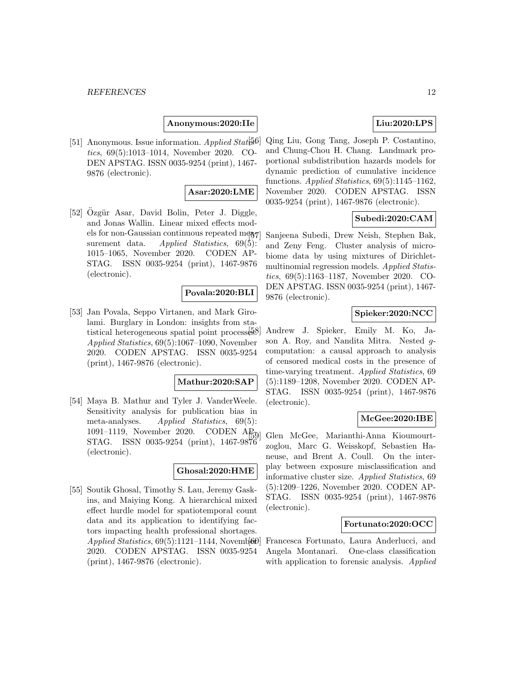## **Anonymous:2020:IIe**

[51] Anonymous. Issue information. Applied Statis6. tics, 69(5):1013–1014, November 2020. CO-DEN APSTAG. ISSN 0035-9254 (print), 1467- 9876 (electronic).

#### **Asar:2020:LME**

[52] Ozgür Asar, David Bolin, Peter J. Diggle, and Jonas Wallin. Linear mixed effects models for non-Gaussian continuous repeated mea-7 surement data. Applied Statistics,  $69(5)$ : 1015–1065, November 2020. CODEN AP-STAG. ISSN 0035-9254 (print), 1467-9876 (electronic).

#### **Povala:2020:BLI**

[53] Jan Povala, Seppo Virtanen, and Mark Girolami. Burglary in London: insights from statistical heterogeneous spatial point processes. Applied Statistics, 69(5):1067–1090, November 2020. CODEN APSTAG. ISSN 0035-9254 (print), 1467-9876 (electronic).

# **Mathur:2020:SAP**

[54] Maya B. Mathur and Tyler J. VanderWeele. Sensitivity analysis for publication bias in meta-analyses. Applied Statistics, 69(5): 1091–1119, November 2020. CODEN AP<sub>50</sub> STAG. ISSN 0035-9254 (print), 1467-9876 (electronic).

#### **Ghosal:2020:HME**

[55] Soutik Ghosal, Timothy S. Lau, Jeremy Gaskins, and Maiying Kong. A hierarchical mixed effect hurdle model for spatiotemporal count data and its application to identifying factors impacting health professional shortages. Applied Statistics,  $69(5):1121-1144$ , Novemb $660$ 2020. CODEN APSTAG. ISSN 0035-9254 (print), 1467-9876 (electronic).

# **Liu:2020:LPS**

[56] Qing Liu, Gong Tang, Joseph P. Costantino, and Chung-Chou H. Chang. Landmark proportional subdistribution hazards models for dynamic prediction of cumulative incidence functions. Applied Statistics, 69(5):1145–1162, November 2020. CODEN APSTAG. ISSN 0035-9254 (print), 1467-9876 (electronic).

# **Subedi:2020:CAM**

[57] Sanjeena Subedi, Drew Neish, Stephen Bak, and Zeny Feng. Cluster analysis of microbiome data by using mixtures of Dirichletmultinomial regression models. Applied Statistics, 69(5):1163–1187, November 2020. CO-DEN APSTAG. ISSN 0035-9254 (print), 1467- 9876 (electronic).

# **Spieker:2020:NCC**

[58] Andrew J. Spieker, Emily M. Ko, Jason A. Roy, and Nandita Mitra. Nested gcomputation: a causal approach to analysis of censored medical costs in the presence of time-varying treatment. Applied Statistics, 69 (5):1189–1208, November 2020. CODEN AP-STAG. ISSN 0035-9254 (print), 1467-9876 (electronic).

#### **McGee:2020:IBE**

[59] Glen McGee, Marianthi-Anna Kioumourtzoglou, Marc G. Weisskopf, Sebastien Haneuse, and Brent A. Coull. On the interplay between exposure misclassification and informative cluster size. Applied Statistics, 69 (5):1209–1226, November 2020. CODEN AP-STAG. ISSN 0035-9254 (print), 1467-9876 (electronic).

#### **Fortunato:2020:OCC**

[60] Francesca Fortunato, Laura Anderlucci, and Angela Montanari. One-class classification with application to forensic analysis. Applied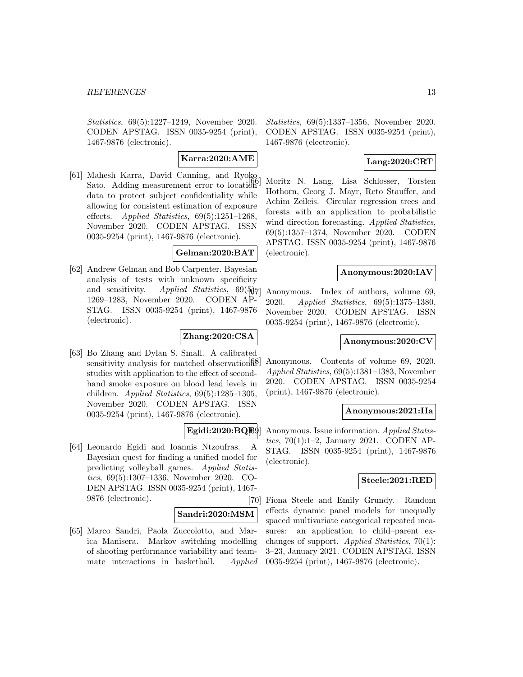Statistics, 69(5):1227–1249, November 2020. CODEN APSTAG. ISSN 0035-9254 (print), 1467-9876 (electronic).

# **Karra:2020:AME**

[61] Mahesh Karra, David Canning, and Ryoko Sato. Adding measurement error to location data to protect subject confidentiality while allowing for consistent estimation of exposure effects. Applied Statistics,  $69(5):1251-1268$ . November 2020. CODEN APSTAG. ISSN 0035-9254 (print), 1467-9876 (electronic).

## **Gelman:2020:BAT**

[62] Andrew Gelman and Bob Carpenter. Bayesian analysis of tests with unknown specificity and sensitivity. Applied Statistics,  $69(\frac{5}{6}7)$ 1269–1283, November 2020. CODEN AP-STAG. ISSN 0035-9254 (print), 1467-9876 (electronic).

#### **Zhang:2020:CSA**

[63] Bo Zhang and Dylan S. Small. A calibrated sensitivity analysis for matched observation  $\mathbb{R}^n$ studies with application to the effect of secondhand smoke exposure on blood lead levels in children. Applied Statistics,  $69(5):1285-1305$ , November 2020. CODEN APSTAG. ISSN 0035-9254 (print), 1467-9876 (electronic).

## **Egidi:2020:BQF**

[64] Leonardo Egidi and Ioannis Ntzoufras. A Bayesian quest for finding a unified model for predicting volleyball games. Applied Statistics, 69(5):1307–1336, November 2020. CO-DEN APSTAG. ISSN 0035-9254 (print), 1467- 9876 (electronic).

## **Sandri:2020:MSM**

[65] Marco Sandri, Paola Zuccolotto, and Marica Manisera. Markov switching modelling of shooting performance variability and teammate interactions in basketball. Applied

Statistics, 69(5):1337–1356, November 2020. CODEN APSTAG. ISSN 0035-9254 (print), 1467-9876 (electronic).

# **Lang:2020:CRT**

[66] Moritz N. Lang, Lisa Schlosser, Torsten Hothorn, Georg J. Mayr, Reto Stauffer, and Achim Zeileis. Circular regression trees and forests with an application to probabilistic wind direction forecasting. Applied Statistics, 69(5):1357–1374, November 2020. CODEN APSTAG. ISSN 0035-9254 (print), 1467-9876 (electronic).

#### **Anonymous:2020:IAV**

Anonymous. Index of authors, volume 69, 2020. Applied Statistics, 69(5):1375–1380, November 2020. CODEN APSTAG. ISSN 0035-9254 (print), 1467-9876 (electronic).

#### **Anonymous:2020:CV**

Anonymous. Contents of volume 69, 2020. Applied Statistics, 69(5):1381–1383, November 2020. CODEN APSTAG. ISSN 0035-9254 (print), 1467-9876 (electronic).

#### **Anonymous:2021:IIa**

Anonymous. Issue information. Applied Statistics, 70(1):1–2, January 2021. CODEN AP-STAG. ISSN 0035-9254 (print), 1467-9876 (electronic).

#### **Steele:2021:RED**

[70] Fiona Steele and Emily Grundy. Random effects dynamic panel models for unequally spaced multivariate categorical repeated measures: an application to child–parent exchanges of support. Applied Statistics, 70(1): 3–23, January 2021. CODEN APSTAG. ISSN 0035-9254 (print), 1467-9876 (electronic).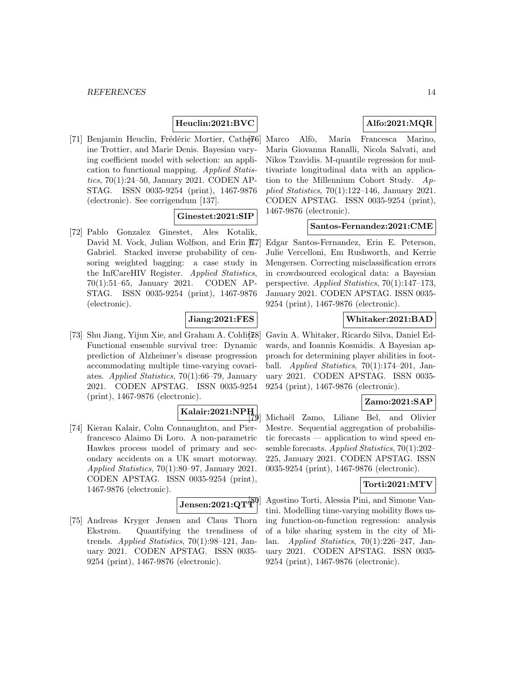# **Heuclin:2021:BVC**

[71] Benjamin Heuclin, Frédéric Mortier, Cather<sup>56</sup>] ine Trottier, and Marie Denis. Bayesian varying coefficient model with selection: an application to functional mapping. Applied Statistics, 70(1):24–50, January 2021. CODEN AP-STAG. ISSN 0035-9254 (print), 1467-9876 (electronic). See corrigendum [137].

# **Ginestet:2021:SIP**

[72] Pablo Gonzalez Ginestet, Ales Kotalik, David M. Vock, Julian Wolfson, and Erin  $E7$ Gabriel. Stacked inverse probability of censoring weighted bagging: a case study in the InfCareHIV Register. Applied Statistics, 70(1):51–65, January 2021. CODEN AP-STAG. ISSN 0035-9254 (print), 1467-9876 (electronic).

#### **Jiang:2021:FES**

[73] Shu Jiang, Yijun Xie, and Graham A. Coldit $[73]$ Functional ensemble survival tree: Dynamic prediction of Alzheimer's disease progression accommodating multiple time-varying covariates. Applied Statistics, 70(1):66–79, January 2021. CODEN APSTAG. ISSN 0035-9254 (print), 1467-9876 (electronic).

# **Kalair:2021:NPH**

[74] Kieran Kalair, Colm Connaughton, and Pierfrancesco Alaimo Di Loro. A non-parametric Hawkes process model of primary and secondary accidents on a UK smart motorway. Applied Statistics, 70(1):80–97, January 2021. CODEN APSTAG. ISSN 0035-9254 (print), 1467-9876 (electronic).

 $\mathrm{Jensen:}2021\mathrm{:} \mathrm{QTf}^{\mathrm{p}0}$ 

[75] Andreas Kryger Jensen and Claus Thorn Ekstrøm. Quantifying the trendiness of trends. Applied Statistics, 70(1):98–121, January 2021. CODEN APSTAG. ISSN 0035- 9254 (print), 1467-9876 (electronic).

# **Alfo:2021:MQR**

Marco Alfò, Maria Francesca Marino, Maria Giovanna Ranalli, Nicola Salvati, and Nikos Tzavidis. M-quantile regression for multivariate longitudinal data with an application to the Millennium Cohort Study. Applied Statistics, 70(1):122–146, January 2021. CODEN APSTAG. ISSN 0035-9254 (print), 1467-9876 (electronic).

# **Santos-Fernandez:2021:CME**

[77] Edgar Santos-Fernandez, Erin E. Peterson, Julie Vercelloni, Em Rushworth, and Kerrie Mengersen. Correcting misclassification errors in crowdsourced ecological data: a Bayesian perspective. Applied Statistics, 70(1):147–173, January 2021. CODEN APSTAG. ISSN 0035- 9254 (print), 1467-9876 (electronic).

# **Whitaker:2021:BAD**

[78] Gavin A. Whitaker, Ricardo Silva, Daniel Edwards, and Ioannis Kosmidis. A Bayesian approach for determining player abilities in football. Applied Statistics,  $70(1):174-201$ , January 2021. CODEN APSTAG. ISSN 0035- 9254 (print), 1467-9876 (electronic).

#### **Zamo:2021:SAP**

Michaël Zamo, Liliane Bel, and Olivier Mestre. Sequential aggregation of probabilistic forecasts — application to wind speed ensemble forecasts. Applied Statistics, 70(1):202– 225, January 2021. CODEN APSTAG. ISSN 0035-9254 (print), 1467-9876 (electronic).

#### **Torti:2021:MTV**

Agostino Torti, Alessia Pini, and Simone Vantini. Modelling time-varying mobility flows using function-on-function regression: analysis of a bike sharing system in the city of Milan. Applied Statistics, 70(1):226–247, January 2021. CODEN APSTAG. ISSN 0035- 9254 (print), 1467-9876 (electronic).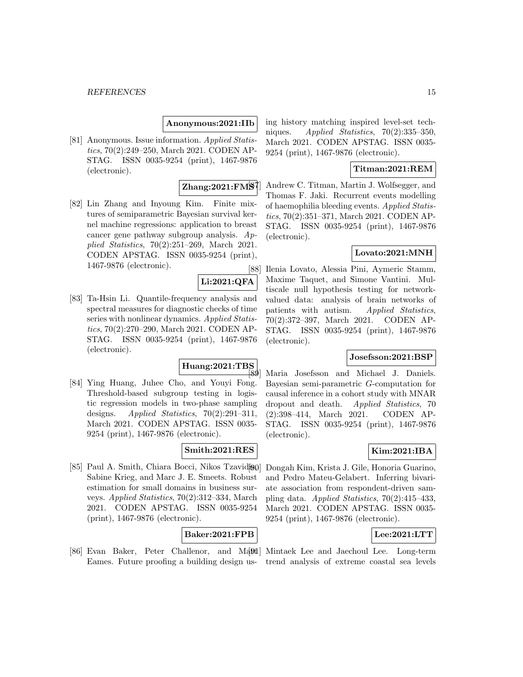#### *REFERENCES* 15

#### **Anonymous:2021:IIb**

[81] Anonymous. Issue information. Applied Statistics, 70(2):249–250, March 2021. CODEN AP-STAG. ISSN 0035-9254 (print), 1467-9876 (electronic).

#### **Zhang:2021:FMS**

[82] Lin Zhang and Inyoung Kim. Finite mixtures of semiparametric Bayesian survival kernel machine regressions: application to breast cancer gene pathway subgroup analysis. Applied Statistics, 70(2):251–269, March 2021. CODEN APSTAG. ISSN 0035-9254 (print), 1467-9876 (electronic).

**Li:2021:QFA**

[83] Ta-Hsin Li. Quantile-frequency analysis and spectral measures for diagnostic checks of time series with nonlinear dynamics. Applied Statistics, 70(2):270–290, March 2021. CODEN AP-STAG. ISSN 0035-9254 (print), 1467-9876 (electronic).

# **Huang:2021:TBS**

[84] Ying Huang, Juhee Cho, and Youyi Fong. Threshold-based subgroup testing in logistic regression models in two-phase sampling designs. Applied Statistics,  $70(2):291-311$ , March 2021. CODEN APSTAG. ISSN 0035- 9254 (print), 1467-9876 (electronic).

## **Smith:2021:RES**

[85] Paul A. Smith, Chiara Bocci, Nikos Tzavidi $90$ ] Sabine Krieg, and Marc J. E. Smeets. Robust estimation for small domains in business surveys. Applied Statistics, 70(2):312–334, March 2021. CODEN APSTAG. ISSN 0035-9254 (print), 1467-9876 (electronic).

# **Baker:2021:FPB**

[86] Evan Baker, Peter Challenor, and Manual Mintaek Lee and Jaechoul Lee. Long-term

ing history matching inspired level-set techniques. Applied Statistics, 70(2):335–350, March 2021. CODEN APSTAG. ISSN 0035- 9254 (print), 1467-9876 (electronic).

# **Titman:2021:REM**

[87] Andrew C. Titman, Martin J. Wolfsegger, and Thomas F. Jaki. Recurrent events modelling of haemophilia bleeding events. Applied Statistics, 70(2):351–371, March 2021. CODEN AP-STAG. ISSN 0035-9254 (print), 1467-9876 (electronic).

# **Lovato:2021:MNH**

[88] Ilenia Lovato, Alessia Pini, Aymeric Stamm, Maxime Taquet, and Simone Vantini. Multiscale null hypothesis testing for networkvalued data: analysis of brain networks of patients with autism. Applied Statistics, 70(2):372–397, March 2021. CODEN AP-STAG. ISSN 0035-9254 (print), 1467-9876 (electronic).

#### **Josefsson:2021:BSP**

Maria Josefsson and Michael J. Daniels. Bayesian semi-parametric G-computation for causal inference in a cohort study with MNAR dropout and death. Applied Statistics, 70 (2):398–414, March 2021. CODEN AP-STAG. ISSN 0035-9254 (print), 1467-9876 (electronic).

## **Kim:2021:IBA**

[90] Dongah Kim, Krista J. Gile, Honoria Guarino, and Pedro Mateu-Gelabert. Inferring bivariate association from respondent-driven sampling data. Applied Statistics, 70(2):415–433, March 2021. CODEN APSTAG. ISSN 0035- 9254 (print), 1467-9876 (electronic).

## **Lee:2021:LTT**

Eames. Future proofing a building design us-trend analysis of extreme coastal sea levels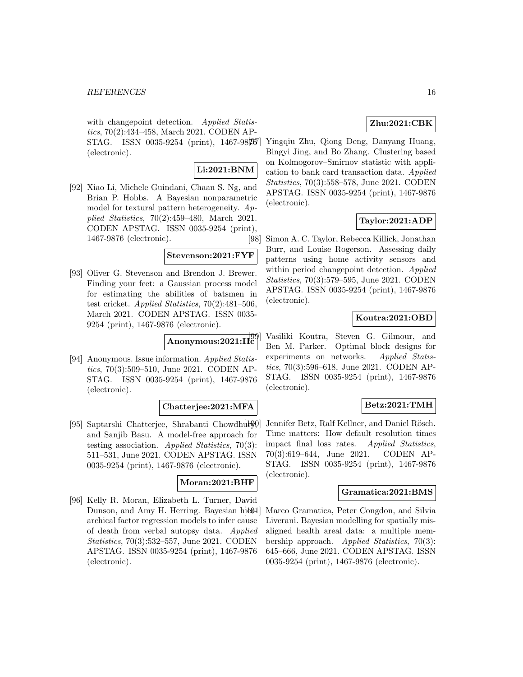with changepoint detection. Applied Statistics, 70(2):434–458, March 2021. CODEN AP- $STAG.$  ISSN 0035-9254 (print), 1467-98[85] (electronic).

# **Li:2021:BNM**

[92] Xiao Li, Michele Guindani, Chaan S. Ng, and Brian P. Hobbs. A Bayesian nonparametric model for textural pattern heterogeneity. Applied Statistics, 70(2):459–480, March 2021. CODEN APSTAG. ISSN 0035-9254 (print), 1467-9876 (electronic).

## **Stevenson:2021:FYF**

[93] Oliver G. Stevenson and Brendon J. Brewer. Finding your feet: a Gaussian process model for estimating the abilities of batsmen in test cricket. Applied Statistics,  $70(2):481-506$ , March 2021. CODEN APSTAG. ISSN 0035- 9254 (print), 1467-9876 (electronic).

# **Anonymous:2021:IIc**

[94] Anonymous. Issue information. Applied Statistics, 70(3):509–510, June 2021. CODEN AP-STAG. ISSN 0035-9254 (print), 1467-9876 (electronic).

## **Chatterjee:2021:MFA**

[95] Saptarshi Chatterjee, Shrabanti Chowdhury and Sanjib Basu. A model-free approach for testing association. Applied Statistics, 70(3): 511–531, June 2021. CODEN APSTAG. ISSN 0035-9254 (print), 1467-9876 (electronic).

#### **Moran:2021:BHF**

[96] Kelly R. Moran, Elizabeth L. Turner, David Dunson, and Amy H. Herring. Bayesian hiteoral archical factor regression models to infer cause of death from verbal autopsy data. Applied Statistics, 70(3):532–557, June 2021. CODEN APSTAG. ISSN 0035-9254 (print), 1467-9876 (electronic).

# **Zhu:2021:CBK**

Yingqiu Zhu, Qiong Deng, Danyang Huang, Bingyi Jing, and Bo Zhang. Clustering based on Kolmogorov–Smirnov statistic with application to bank card transaction data. Applied Statistics, 70(3):558–578, June 2021. CODEN APSTAG. ISSN 0035-9254 (print), 1467-9876 (electronic).

# **Taylor:2021:ADP**

[98] Simon A. C. Taylor, Rebecca Killick, Jonathan Burr, and Louise Rogerson. Assessing daily patterns using home activity sensors and within period changepoint detection. Applied Statistics, 70(3):579–595, June 2021. CODEN APSTAG. ISSN 0035-9254 (print), 1467-9876 (electronic).

# **Koutra:2021:OBD**

Vasiliki Koutra, Steven G. Gilmour, and Ben M. Parker. Optimal block designs for experiments on networks. Applied Statistics, 70(3):596–618, June 2021. CODEN AP-STAG. ISSN 0035-9254 (print), 1467-9876 (electronic).

## **Betz:2021:TMH**

Jennifer Betz, Ralf Kellner, and Daniel Rösch. Time matters: How default resolution times impact final loss rates. Applied Statistics, 70(3):619–644, June 2021. CODEN AP-STAG. ISSN 0035-9254 (print), 1467-9876 (electronic).

#### **Gramatica:2021:BMS**

Marco Gramatica, Peter Congdon, and Silvia Liverani. Bayesian modelling for spatially misaligned health areal data: a multiple membership approach. Applied Statistics, 70(3): 645–666, June 2021. CODEN APSTAG. ISSN 0035-9254 (print), 1467-9876 (electronic).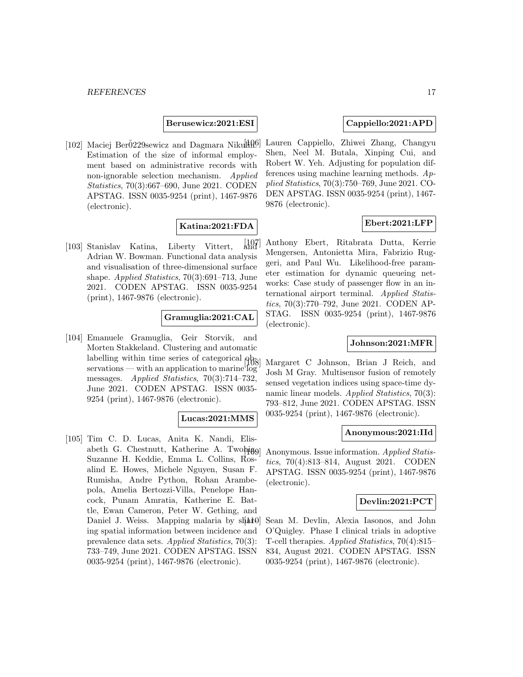**Berusewicz:2021:ESI**

[102] Maciej Ber $\rm\ddot{o}229$ sewicz and Dagmara Nikuli $\rm\ddot{H}^{0}$ . Estimation of the size of informal employment based on administrative records with non-ignorable selection mechanism. Applied Statistics, 70(3):667–690, June 2021. CODEN APSTAG. ISSN 0035-9254 (print), 1467-9876 (electronic).

# **Katina:2021:FDA**

[103] Stanislav Katina, Liberty Vittert, and Adrian W. Bowman. Functional data analysis and visualisation of three-dimensional surface shape. *Applied Statistics*, 70(3):691–713, June 2021. CODEN APSTAG. ISSN 0035-9254 (print), 1467-9876 (electronic).

## **Gramuglia:2021:CAL**

[104] Emanuele Gramuglia, Geir Storvik, and Morten Stakkeland. Clustering and automatic labelling within time series of categorical  $\rho_{\overline{B}}$ servations — with an application to marine  $log$ messages. Applied Statistics,  $70(3):714-732$ , June 2021. CODEN APSTAG. ISSN 0035- 9254 (print), 1467-9876 (electronic).

## **Lucas:2021:MMS**

[105] Tim C. D. Lucas, Anita K. Nandi, Elisabeth G. Chestnutt, Katherine A. Twohigol Suzanne H. Keddie, Emma L. Collins, Rosalind E. Howes, Michele Nguyen, Susan F. Rumisha, Andre Python, Rohan Arambepola, Amelia Bertozzi-Villa, Penelope Hancock, Punam Amratia, Katherine E. Battle, Ewan Cameron, Peter W. Gething, and Daniel J. Weiss. Mapping malaria by  $s$ hart $\theta$ ing spatial information between incidence and prevalence data sets. Applied Statistics, 70(3): 733–749, June 2021. CODEN APSTAG. ISSN 0035-9254 (print), 1467-9876 (electronic).

# **Cappiello:2021:APD**

[106] Lauren Cappiello, Zhiwei Zhang, Changyu Shen, Neel M. Butala, Xinping Cui, and Robert W. Yeh. Adjusting for population differences using machine learning methods. Applied Statistics, 70(3):750–769, June 2021. CO-DEN APSTAG. ISSN 0035-9254 (print), 1467- 9876 (electronic).

## **Ebert:2021:LFP**

[107] Anthony Ebert, Ritabrata Dutta, Kerrie Mengersen, Antonietta Mira, Fabrizio Ruggeri, and Paul Wu. Likelihood-free parameter estimation for dynamic queueing networks: Case study of passenger flow in an international airport terminal. Applied Statistics, 70(3):770–792, June 2021. CODEN AP-STAG. ISSN 0035-9254 (print), 1467-9876 (electronic).

# **Johnson:2021:MFR**

Margaret C Johnson, Brian J Reich, and Josh M Gray. Multisensor fusion of remotely sensed vegetation indices using space-time dynamic linear models. Applied Statistics, 70(3): 793–812, June 2021. CODEN APSTAG. ISSN 0035-9254 (print), 1467-9876 (electronic).

#### **Anonymous:2021:IId**

Anonymous. Issue information. Applied Statistics, 70(4):813–814, August 2021. CODEN APSTAG. ISSN 0035-9254 (print), 1467-9876 (electronic).

#### **Devlin:2021:PCT**

Sean M. Devlin, Alexia Iasonos, and John O'Quigley. Phase I clinical trials in adoptive T-cell therapies. Applied Statistics, 70(4):815– 834, August 2021. CODEN APSTAG. ISSN 0035-9254 (print), 1467-9876 (electronic).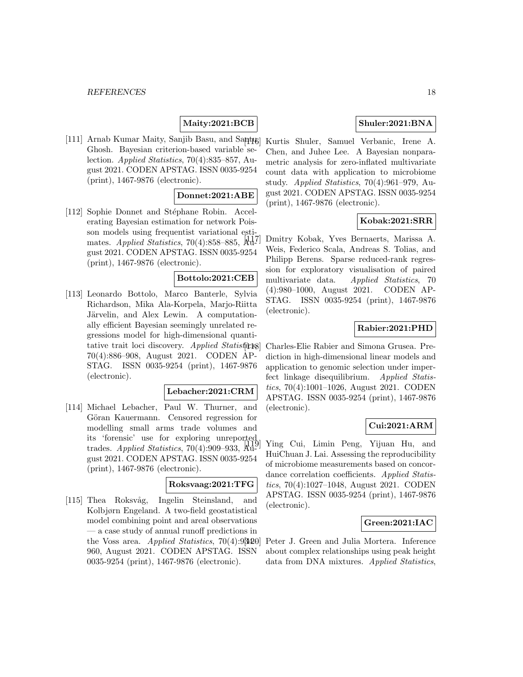# **Maity:2021:BCB**

[111] Arnab Kumar Maity, Sanjib Basu, and Santug Ghosh. Bayesian criterion-based variable selection. Applied Statistics, 70(4):835–857, August 2021. CODEN APSTAG. ISSN 0035-9254 (print), 1467-9876 (electronic).

#### **Donnet:2021:ABE**

[112] Sophie Donnet and Stéphane Robin. Accelerating Bayesian estimation for network Poisson models using frequentist variational estimates. Applied Statistics, 70(4):858–885,  $\mathbb{H}^{1}$ gust 2021. CODEN APSTAG. ISSN 0035-9254 (print), 1467-9876 (electronic).

#### **Bottolo:2021:CEB**

[113] Leonardo Bottolo, Marco Banterle, Sylvia Richardson, Mika Ala-Korpela, Marjo-Riitta Järvelin, and Alex Lewin. A computationally efficient Bayesian seemingly unrelated regressions model for high-dimensional quantitative trait loci discovery. Applied Statistics, 70(4):886–908, August 2021. CODEN AP-STAG. ISSN 0035-9254 (print), 1467-9876 (electronic).

#### **Lebacher:2021:CRM**

[114] Michael Lebacher, Paul W. Thurner, and Göran Kauermann. Censored regression for modelling small arms trade volumes and its 'forensic' use for exploring unreported trades. Applied Statistics,  $70(4):909-933$ , August 2021. CODEN APSTAG. ISSN 0035-9254 (print), 1467-9876 (electronic).

#### **Roksvaag:2021:TFG**

[115] Thea Roksvåg, Ingelin Steinsland, and Kolbjørn Engeland. A two-field geostatistical model combining point and areal observations — a case study of annual runoff predictions in the Voss area. Applied Statistics,  $70(4):95420$ 960, August 2021. CODEN APSTAG. ISSN 0035-9254 (print), 1467-9876 (electronic).

# **Shuler:2021:BNA**

Kurtis Shuler, Samuel Verbanic, Irene A. Chen, and Juhee Lee. A Bayesian nonparametric analysis for zero-inflated multivariate count data with application to microbiome study. Applied Statistics, 70(4):961–979, August 2021. CODEN APSTAG. ISSN 0035-9254 (print), 1467-9876 (electronic).

#### **Kobak:2021:SRR**

[117] Dmitry Kobak, Yves Bernaerts, Marissa A. Weis, Federico Scala, Andreas S. Tolias, and Philipp Berens. Sparse reduced-rank regression for exploratory visualisation of paired multivariate data. Applied Statistics, 70 (4):980–1000, August 2021. CODEN AP-STAG. ISSN 0035-9254 (print), 1467-9876 (electronic).

# **Rabier:2021:PHD**

[118] Charles-Elie Rabier and Simona Grusea. Prediction in high-dimensional linear models and application to genomic selection under imperfect linkage disequilibrium. Applied Statistics, 70(4):1001–1026, August 2021. CODEN APSTAG. ISSN 0035-9254 (print), 1467-9876 (electronic).

# **Cui:2021:ARM**

[119] Ying Cui, Limin Peng, Yijuan Hu, and HuiChuan J. Lai. Assessing the reproducibility of microbiome measurements based on concordance correlation coefficients. Applied Statistics, 70(4):1027–1048, August 2021. CODEN APSTAG. ISSN 0035-9254 (print), 1467-9876 (electronic).

#### **Green:2021:IAC**

Peter J. Green and Julia Mortera. Inference about complex relationships using peak height data from DNA mixtures. Applied Statistics,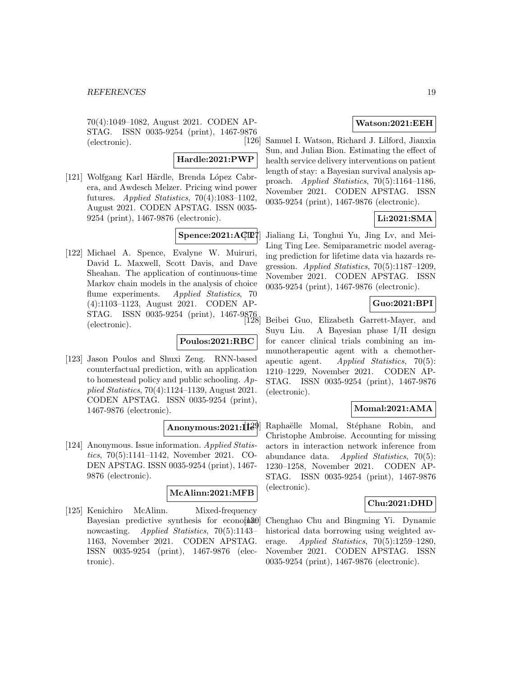70(4):1049–1082, August 2021. CODEN AP-STAG. ISSN 0035-9254 (print), 1467-9876 (electronic).

#### **Hardle:2021:PWP**

[121] Wolfgang Karl Härdle, Brenda López Cabrera, and Awdesch Melzer. Pricing wind power futures. Applied Statistics,  $70(4):1083-1102$ , August 2021. CODEN APSTAG. ISSN 0035- 9254 (print), 1467-9876 (electronic).

# **Spence:2021:ACT**

[122] Michael A. Spence, Evalyne W. Muiruri, David L. Maxwell, Scott Davis, and Dave Sheahan. The application of continuous-time Markov chain models in the analysis of choice flume experiments. Applied Statistics, 70 (4):1103–1123, August 2021. CODEN AP- $STAG.$  ISSN 0035-9254 (print), 1467-9876 (electronic).

# **Poulos:2021:RBC**

[123] Jason Poulos and Shuxi Zeng. RNN-based counterfactual prediction, with an application to homestead policy and public schooling.  $Ap$ plied Statistics, 70(4):1124–1139, August 2021. CODEN APSTAG. ISSN 0035-9254 (print), 1467-9876 (electronic).

## **Anonymous:2021:IIe**

[124] Anonymous. Issue information. Applied Statistics, 70(5):1141–1142, November 2021. CO-DEN APSTAG. ISSN 0035-9254 (print), 1467- 9876 (electronic).

# **McAlinn:2021:MFB**

[125] Kenichiro McAlinn. Mixed-frequency Bayesian predictive synthesis for economial  $\mathbf{B}$ nowcasting. Applied Statistics, 70(5):1143– 1163, November 2021. CODEN APSTAG. ISSN 0035-9254 (print), 1467-9876 (electronic).

# **Watson:2021:EEH**

[126] Samuel I. Watson, Richard J. Lilford, Jianxia Sun, and Julian Bion. Estimating the effect of health service delivery interventions on patient length of stay: a Bayesian survival analysis approach. Applied Statistics, 70(5):1164–1186, November 2021. CODEN APSTAG. ISSN 0035-9254 (print), 1467-9876 (electronic).

# **Li:2021:SMA**

Jialiang Li, Tonghui Yu, Jing Lv, and Mei-Ling Ting Lee. Semiparametric model averaging prediction for lifetime data via hazards regression. Applied Statistics, 70(5):1187–1209, November 2021. CODEN APSTAG. ISSN 0035-9254 (print), 1467-9876 (electronic).

#### **Guo:2021:BPI**

[128] Beibei Guo, Elizabeth Garrett-Mayer, and Suyu Liu. A Bayesian phase I/II design for cancer clinical trials combining an immunotherapeutic agent with a chemotherapeutic agent. Applied Statistics, 70(5): 1210–1229, November 2021. CODEN AP-STAG. ISSN 0035-9254 (print), 1467-9876 (electronic).

# **Momal:2021:AMA**

Raphaëlle Momal, Stéphane Robin, and Christophe Ambroise. Accounting for missing actors in interaction network inference from abundance data. Applied Statistics, 70(5): 1230–1258, November 2021. CODEN AP-STAG. ISSN 0035-9254 (print), 1467-9876 (electronic).

## **Chu:2021:DHD**

[130] Chenghao Chu and Bingming Yi. Dynamic historical data borrowing using weighted average. Applied Statistics,  $70(5):1259-1280$ , November 2021. CODEN APSTAG. ISSN 0035-9254 (print), 1467-9876 (electronic).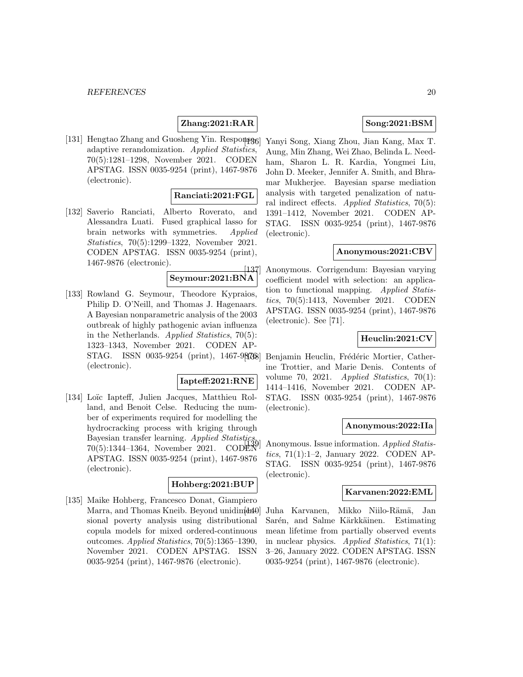# **Zhang:2021:RAR**

[131] Hengtao Zhang and Guosheng Yin. Response adaptive rerandomization. Applied Statistics, 70(5):1281–1298, November 2021. CODEN APSTAG. ISSN 0035-9254 (print), 1467-9876 (electronic).

#### **Ranciati:2021:FGL**

[132] Saverio Ranciati, Alberto Roverato, and Alessandra Luati. Fused graphical lasso for brain networks with symmetries. Applied Statistics, 70(5):1299–1322, November 2021. CODEN APSTAG. ISSN 0035-9254 (print), 1467-9876 (electronic).

# **Seymour:2021:BNA**

[133] Rowland G. Seymour, Theodore Kypraios, Philip D. O'Neill, and Thomas J. Hagenaars. A Bayesian nonparametric analysis of the 2003 outbreak of highly pathogenic avian influenza in the Netherlands. Applied Statistics, 70(5): 1323–1343, November 2021. CODEN AP-STAG. ISSN 0035-9254 (print), 1467-98768] (electronic).

# **Iapteff:2021:RNE**

[134] Loïc Iapteff, Julien Jacques, Matthieu Rolland, and Benoit Celse. Reducing the number of experiments required for modelling the hydrocracking process with kriging through Bayesian transfer learning. Applied Statistics, 70(5):1344–1364, November 2021. CODE APSTAG. ISSN 0035-9254 (print), 1467-9876 (electronic).

#### **Hohberg:2021:BUP**

[135] Maike Hohberg, Francesco Donat, Giampiero Marra, and Thomas Kneib. Beyond unidimental sional poverty analysis using distributional copula models for mixed ordered-continuous outcomes.  $Applied Statistics, 70(5):1365-1390,$ November 2021. CODEN APSTAG. ISSN 0035-9254 (print), 1467-9876 (electronic).

# **Song:2021:BSM**

[136] Yanyi Song, Xiang Zhou, Jian Kang, Max T. Aung, Min Zhang, Wei Zhao, Belinda L. Needham, Sharon L. R. Kardia, Yongmei Liu, John D. Meeker, Jennifer A. Smith, and Bhramar Mukherjee. Bayesian sparse mediation analysis with targeted penalization of natural indirect effects. Applied Statistics, 70(5): 1391–1412, November 2021. CODEN AP-STAG. ISSN 0035-9254 (print), 1467-9876 (electronic).

#### **Anonymous:2021:CBV**

[137] Anonymous. Corrigendum: Bayesian varying coefficient model with selection: an application to functional mapping. Applied Statistics, 70(5):1413, November 2021. CODEN APSTAG. ISSN 0035-9254 (print), 1467-9876 (electronic). See [71].

# **Heuclin:2021:CV**

Benjamin Heuclin, Frédéric Mortier, Catherine Trottier, and Marie Denis. Contents of volume 70, 2021. Applied Statistics, 70(1): 1414–1416, November 2021. CODEN AP-STAG. ISSN 0035-9254 (print), 1467-9876 (electronic).

#### **Anonymous:2022:IIa**

Anonymous. Issue information. Applied Statistics, 71(1):1–2, January 2022. CODEN AP-STAG. ISSN 0035-9254 (print), 1467-9876 (electronic).

#### **Karvanen:2022:EML**

Juha Karvanen, Mikko Niilo-Rämä, Jan Sarén, and Salme Kärkkäinen. Estimating mean lifetime from partially observed events in nuclear physics. Applied Statistics, 71(1): 3–26, January 2022. CODEN APSTAG. ISSN 0035-9254 (print), 1467-9876 (electronic).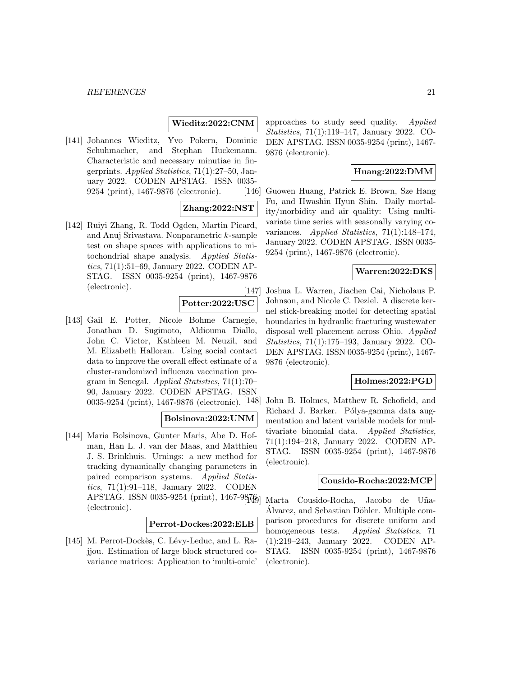#### *REFERENCES* 21

#### **Wieditz:2022:CNM**

[141] Johannes Wieditz, Yvo Pokern, Dominic Schuhmacher, and Stephan Huckemann. Characteristic and necessary minutiae in fingerprints. Applied Statistics, 71(1):27–50, January 2022. CODEN APSTAG. ISSN 0035- 9254 (print), 1467-9876 (electronic).

# **Zhang:2022:NST**

[142] Ruiyi Zhang, R. Todd Ogden, Martin Picard, and Anuj Srivastava. Nonparametric k-sample test on shape spaces with applications to mitochondrial shape analysis. Applied Statistics, 71(1):51–69, January 2022. CODEN AP-STAG. ISSN 0035-9254 (print), 1467-9876 (electronic).

**Potter:2022:USC**

[143] Gail E. Potter, Nicole Bohme Carnegie, Jonathan D. Sugimoto, Aldiouma Diallo, John C. Victor, Kathleen M. Neuzil, and M. Elizabeth Halloran. Using social contact data to improve the overall effect estimate of a cluster-randomized influenza vaccination program in Senegal. Applied Statistics, 71(1):70– 90, January 2022. CODEN APSTAG. ISSN 0035-9254 (print), 1467-9876 (electronic).

# **Bolsinova:2022:UNM**

[144] Maria Bolsinova, Gunter Maris, Abe D. Hofman, Han L. J. van der Maas, and Matthieu J. S. Brinkhuis. Urnings: a new method for tracking dynamically changing parameters in paired comparison systems. Applied Statistics, 71(1):91–118, January 2022. CODEN APSTAG. ISSN 0035-9254 (print), 1467-98749] (electronic).

## **Perrot-Dockes:2022:ELB**

[145] M. Perrot-Dockès, C. Lévy-Leduc, and L. Rajjou. Estimation of large block structured covariance matrices: Application to 'multi-omic'

approaches to study seed quality. Applied Statistics, 71(1):119–147, January 2022. CO-DEN APSTAG. ISSN 0035-9254 (print), 1467- 9876 (electronic).

# **Huang:2022:DMM**

[146] Guowen Huang, Patrick E. Brown, Sze Hang Fu, and Hwashin Hyun Shin. Daily mortality/morbidity and air quality: Using multivariate time series with seasonally varying covariances. Applied Statistics, 71(1):148–174, January 2022. CODEN APSTAG. ISSN 0035- 9254 (print), 1467-9876 (electronic).

# **Warren:2022:DKS**

[147] Joshua L. Warren, Jiachen Cai, Nicholaus P. Johnson, and Nicole C. Deziel. A discrete kernel stick-breaking model for detecting spatial boundaries in hydraulic fracturing wastewater disposal well placement across Ohio. Applied Statistics, 71(1):175–193, January 2022. CO-DEN APSTAG. ISSN 0035-9254 (print), 1467- 9876 (electronic).

# **Holmes:2022:PGD**

John B. Holmes, Matthew R. Schofield, and Richard J. Barker. Pólya-gamma data augmentation and latent variable models for multivariate binomial data. Applied Statistics, 71(1):194–218, January 2022. CODEN AP-STAG. ISSN 0035-9254 (print), 1467-9876 (electronic).

## **Cousido-Rocha:2022:MCP**

Marta Cousido-Rocha, Jacobo de Uña-Alvarez, and Sebastian Döhler. Multiple comparison procedures for discrete uniform and homogeneous tests. Applied Statistics, 71 (1):219–243, January 2022. CODEN AP-STAG. ISSN 0035-9254 (print), 1467-9876 (electronic).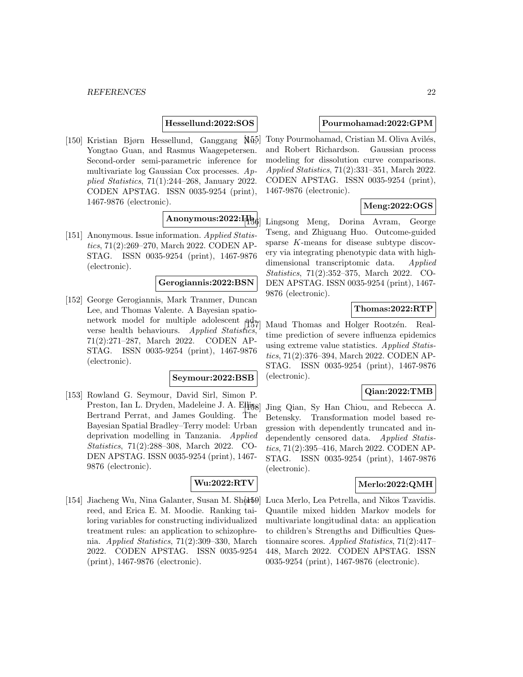## **Hessellund:2022:SOS**

[150] Kristian Bjørn Hessellund, Ganggang  $\mathbb{M}5$ ] Yongtao Guan, and Rasmus Waagepetersen. Second-order semi-parametric inference for multivariate log Gaussian Cox processes. Applied Statistics, 71(1):244–268, January 2022. CODEN APSTAG. ISSN 0035-9254 (print), 1467-9876 (electronic).

# **Anonymous:2022:IIb**

[151] Anonymous. Issue information. Applied Statistics, 71(2):269–270, March 2022. CODEN AP-STAG. ISSN 0035-9254 (print), 1467-9876 (electronic).

# **Gerogiannis:2022:BSN**

[152] George Gerogiannis, Mark Tranmer, Duncan Lee, and Thomas Valente. A Bayesian spationetwork model for multiple adolescent  $\frac{ad}{107}$ verse health behaviours. Applied Statistics 71(2):271–287, March 2022. CODEN AP-STAG. ISSN 0035-9254 (print), 1467-9876 (electronic).

#### **Seymour:2022:BSB**

[153] Rowland G. Seymour, David Sirl, Simon P. Preston, Ian L. Dryden, Madeleine J. A. Elliss Bertrand Perrat, and James Goulding. The Bayesian Spatial Bradley–Terry model: Urban deprivation modelling in Tanzania. Applied Statistics, 71(2):288–308, March 2022. CO-DEN APSTAG. ISSN 0035-9254 (print), 1467- 9876 (electronic).

#### **Wu:2022:RTV**

[154] Jiacheng Wu, Nina Galanter, Susan M. Shortreed, and Erica E. M. Moodie. Ranking tailoring variables for constructing individualized treatment rules: an application to schizophrenia. Applied Statistics, 71(2):309–330, March 2022. CODEN APSTAG. ISSN 0035-9254 (print), 1467-9876 (electronic).

#### **Pourmohamad:2022:GPM**

Tony Pourmohamad, Cristian M. Oliva Avilés, and Robert Richardson. Gaussian process modeling for dissolution curve comparisons. Applied Statistics, 71(2):331–351, March 2022. CODEN APSTAG. ISSN 0035-9254 (print), 1467-9876 (electronic).

# **Meng:2022:OGS**

Lingsong Meng, Dorina Avram, George Tseng, and Zhiguang Huo. Outcome-guided sparse K-means for disease subtype discovery via integrating phenotypic data with highdimensional transcriptomic data. Applied Statistics, 71(2):352–375, March 2022. CO-DEN APSTAG. ISSN 0035-9254 (print), 1467- 9876 (electronic).

## **Thomas:2022:RTP**

Maud Thomas and Holger Rootzén. Realtime prediction of severe influenza epidemics using extreme value statistics. Applied Statistics, 71(2):376–394, March 2022. CODEN AP-STAG. ISSN 0035-9254 (print), 1467-9876 (electronic).

#### **Qian:2022:TMB**

Jing Qian, Sy Han Chiou, and Rebecca A. Betensky. Transformation model based regression with dependently truncated and independently censored data. Applied Statistics, 71(2):395–416, March 2022. CODEN AP-STAG. ISSN 0035-9254 (print), 1467-9876 (electronic).

#### **Merlo:2022:QMH**

Luca Merlo, Lea Petrella, and Nikos Tzavidis. Quantile mixed hidden Markov models for multivariate longitudinal data: an application to children's Strengths and Difficulties Questionnaire scores. Applied Statistics, 71(2):417– 448, March 2022. CODEN APSTAG. ISSN 0035-9254 (print), 1467-9876 (electronic).